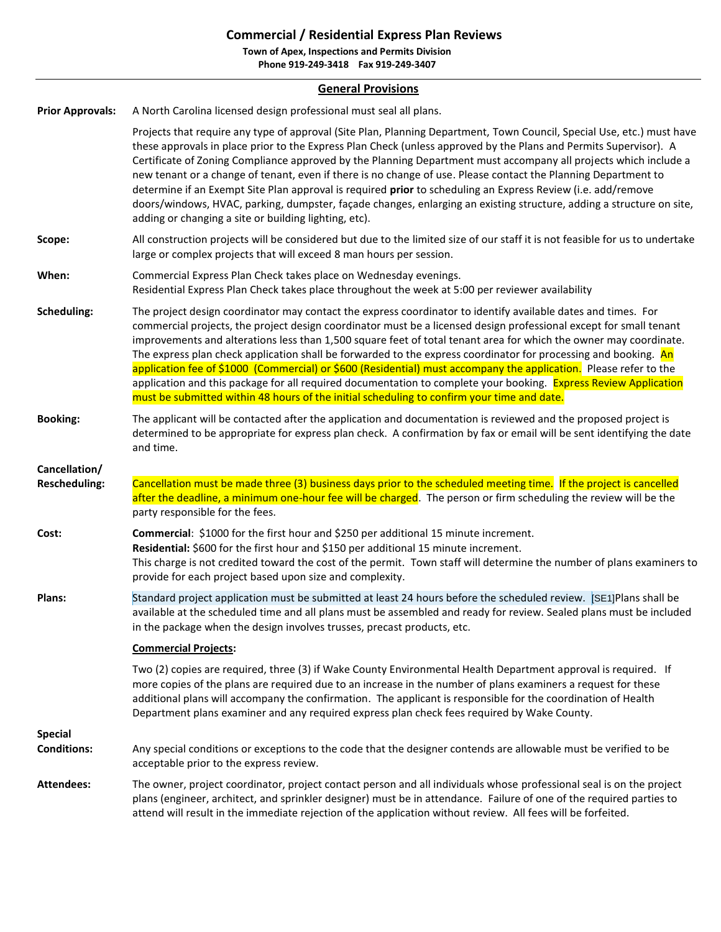## **Commercial / Residential Express Plan Reviews**

**Town of Apex, Inspections and Permits Division Phone 919-249-3418 Fax 919-249-3407**

## **General Provisions**

| <b>Prior Approvals:</b>               | A North Carolina licensed design professional must seal all plans.                                                                                                                                                                                                                                                                                                                                                                                                                                                                                                                                                                                                                                                                                                                                                 |  |
|---------------------------------------|--------------------------------------------------------------------------------------------------------------------------------------------------------------------------------------------------------------------------------------------------------------------------------------------------------------------------------------------------------------------------------------------------------------------------------------------------------------------------------------------------------------------------------------------------------------------------------------------------------------------------------------------------------------------------------------------------------------------------------------------------------------------------------------------------------------------|--|
|                                       | Projects that require any type of approval (Site Plan, Planning Department, Town Council, Special Use, etc.) must have<br>these approvals in place prior to the Express Plan Check (unless approved by the Plans and Permits Supervisor). A<br>Certificate of Zoning Compliance approved by the Planning Department must accompany all projects which include a<br>new tenant or a change of tenant, even if there is no change of use. Please contact the Planning Department to<br>determine if an Exempt Site Plan approval is required prior to scheduling an Express Review (i.e. add/remove<br>doors/windows, HVAC, parking, dumpster, façade changes, enlarging an existing structure, adding a structure on site,<br>adding or changing a site or building lighting, etc).                                 |  |
| Scope:                                | All construction projects will be considered but due to the limited size of our staff it is not feasible for us to undertake<br>large or complex projects that will exceed 8 man hours per session.                                                                                                                                                                                                                                                                                                                                                                                                                                                                                                                                                                                                                |  |
| When:                                 | Commercial Express Plan Check takes place on Wednesday evenings.<br>Residential Express Plan Check takes place throughout the week at 5:00 per reviewer availability                                                                                                                                                                                                                                                                                                                                                                                                                                                                                                                                                                                                                                               |  |
| <b>Scheduling:</b>                    | The project design coordinator may contact the express coordinator to identify available dates and times. For<br>commercial projects, the project design coordinator must be a licensed design professional except for small tenant<br>improvements and alterations less than 1,500 square feet of total tenant area for which the owner may coordinate.<br>The express plan check application shall be forwarded to the express coordinator for processing and booking. An<br>application fee of \$1000 (Commercial) or \$600 (Residential) must accompany the application. Please refer to the<br>application and this package for all required documentation to complete your booking. Express Review Application<br>must be submitted within 48 hours of the initial scheduling to confirm your time and date. |  |
| <b>Booking:</b>                       | The applicant will be contacted after the application and documentation is reviewed and the proposed project is<br>determined to be appropriate for express plan check. A confirmation by fax or email will be sent identifying the date<br>and time.                                                                                                                                                                                                                                                                                                                                                                                                                                                                                                                                                              |  |
| Cancellation/<br><b>Rescheduling:</b> | Cancellation must be made three (3) business days prior to the scheduled meeting time. If the project is cancelled<br>after the deadline, a minimum one-hour fee will be charged. The person or firm scheduling the review will be the<br>party responsible for the fees.                                                                                                                                                                                                                                                                                                                                                                                                                                                                                                                                          |  |
| Cost:                                 | Commercial: \$1000 for the first hour and \$250 per additional 15 minute increment.<br>Residential: \$600 for the first hour and \$150 per additional 15 minute increment.<br>This charge is not credited toward the cost of the permit. Town staff will determine the number of plans examiners to<br>provide for each project based upon size and complexity.                                                                                                                                                                                                                                                                                                                                                                                                                                                    |  |
| Plans:                                | Standard project application must be submitted at least 24 hours before the scheduled review. [SE1]Plans shall be<br>available at the scheduled time and all plans must be assembled and ready for review. Sealed plans must be included<br>in the package when the design involves trusses, precast products, etc.                                                                                                                                                                                                                                                                                                                                                                                                                                                                                                |  |
|                                       | <b>Commercial Projects:</b>                                                                                                                                                                                                                                                                                                                                                                                                                                                                                                                                                                                                                                                                                                                                                                                        |  |
|                                       | Two (2) copies are required, three (3) if Wake County Environmental Health Department approval is required. If<br>more copies of the plans are required due to an increase in the number of plans examiners a request for these<br>additional plans will accompany the confirmation. The applicant is responsible for the coordination of Health<br>Department plans examiner and any required express plan check fees required by Wake County.                                                                                                                                                                                                                                                                                                                                                                    |  |
| <b>Special</b><br><b>Conditions:</b>  | Any special conditions or exceptions to the code that the designer contends are allowable must be verified to be<br>acceptable prior to the express review.                                                                                                                                                                                                                                                                                                                                                                                                                                                                                                                                                                                                                                                        |  |
| <b>Attendees:</b>                     | The owner, project coordinator, project contact person and all individuals whose professional seal is on the project<br>plans (engineer, architect, and sprinkler designer) must be in attendance. Failure of one of the required parties to<br>attend will result in the immediate rejection of the application without review. All fees will be forfeited.                                                                                                                                                                                                                                                                                                                                                                                                                                                       |  |